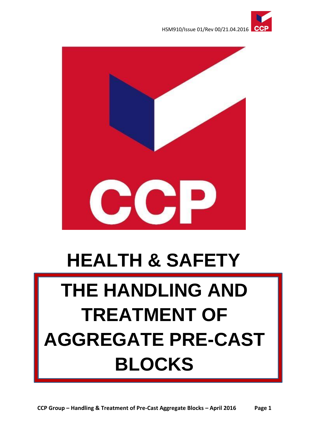





# **HEALTH & SAFETY**

# **THE HANDLING AND TREATMENT OF AGGREGATE PRE-CAST BLOCKS**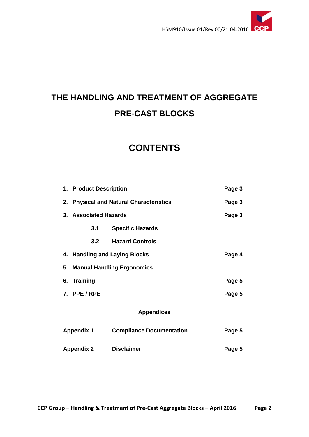

# **THE HANDLING AND TREATMENT OF AGGREGATE PRE-CAST BLOCKS**

# **CONTENTS**

|                   | 1. Product Description                  |                                 | Page 3 |  |
|-------------------|-----------------------------------------|---------------------------------|--------|--|
|                   | 2. Physical and Natural Characteristics |                                 | Page 3 |  |
|                   | 3. Associated Hazards                   |                                 | Page 3 |  |
|                   | 3.1                                     | <b>Specific Hazards</b>         |        |  |
|                   | 3.2                                     | <b>Hazard Controls</b>          |        |  |
|                   | 4. Handling and Laying Blocks<br>Page 4 |                                 |        |  |
|                   | 5. Manual Handling Ergonomics           |                                 |        |  |
|                   | 6. Training                             |                                 | Page 5 |  |
|                   | 7. PPE/RPE                              |                                 | Page 5 |  |
| <b>Appendices</b> |                                         |                                 |        |  |
| <b>Appendix 1</b> |                                         | <b>Compliance Documentation</b> | Page 5 |  |
| <b>Appendix 2</b> |                                         | <b>Disclaimer</b>               | Page 5 |  |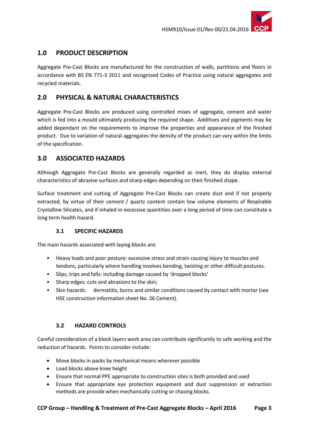

## **1.0 PRODUCT DESCRIPTION**

Aggregate Pre-Cast Blocks are manufactured for the construction of walls, partitions and floors in accordance with BS EN 771-3 2011 and recognised Codes of Practice using natural aggregates and recycled materials.

## **2.0 PHYSICAL & NATURAL CHARACTERISTICS**

Aggregate Pre-Cast Blocks are produced using controlled mixes of aggregate, cement and water which is fed into a mould ultimately producing the required shape. Additives and pigments may be added dependant on the requirements to improve the properties and appearance of the finished product. Due to variation of natural aggregates the density of the product can vary within the limits of the specification.

# **3.0 ASSOCIATED HAZARDS**

Although Aggregate Pre-Cast Blocks are generally regarded as inert, they do display external characteristics of abrasive surfaces and sharp edges depending on their finished shape.

Surface treatment and cutting of Aggregate Pre-Cast Blocks can create dust and if not properly extracted, by virtue of their cement / quartz content contain low volume elements of Respirable Crystalline Silicates, and if inhaled in excessive quantities over a long period of time can constitute a long term health hazard.

### **3.1 SPECIFIC HAZARDS**

The main hazards associated with laying blocks are:

- Heavy loads and poor posture: excessive stress and strain causing injury to muscles and tendons, particularly where handling involves bending, twisting or other difficult postures.
- Slips, trips and falls: including damage caused by 'dropped blocks'
- Sharp edges: cuts and abrasions to the skin;
- Skin hazards: dermatitis, burns and similar conditions caused by contact with mortar (see HSE construction information sheet No. 26 Cement).

### **3.2 HAZARD CONTROLS**

Careful consideration of a block layers work area can contribute significantly to safe working and the reduction of hazards. Points to consider include:

- Move blocks in packs by mechanical means wherever possible
- Load blocks above knee height
- Ensure that normal PPE appropriate to construction sites is both provided and used
- Ensure that appropriate eye protection equipment and dust suppression or extraction methods are provide when mechanically cutting or chasing blocks.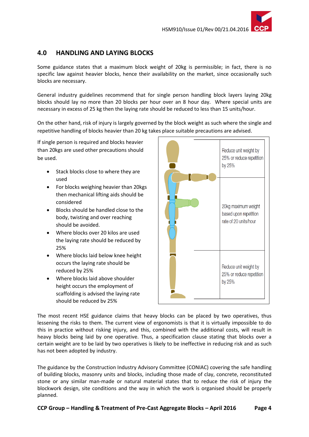

### **4.0 HANDLING AND LAYING BLOCKS**

Some guidance states that a maximum block weight of 20kg is permissible; in fact, there is no specific law against heavier blocks, hence their availability on the market, since occasionally such blocks are necessary.

General industry guidelines recommend that for single person handling block layers laying 20kg blocks should lay no more than 20 blocks per hour over an 8 hour day. Where special units are necessary in excess of 25 kg then the laying rate should be reduced to less than 15 units/hour.

On the other hand, risk of injury is largely governed by the block weight as such where the single and repetitive handling of blocks heavier than 20 kg takes place suitable precautions are advised.

If single person is required and blocks heavier than 20kgs are used other precautions should be used.

- Stack blocks close to where they are used
- For blocks weighing heavier than 20kgs then mechanical lifting aids should be considered
- Blocks should be handled close to the body, twisting and over reaching should be avoided.
- Where blocks over 20 kilos are used the laying rate should be reduced by 25%
- Where blocks laid below knee height occurs the laying rate should be reduced by 25%
- Where blocks laid above shoulder height occurs the employment of scaffolding is advised the laying rate should be reduced by 25%



The most recent HSE guidance claims that heavy blocks can be placed by two operatives, thus lessening the risks to them. The current view of ergonomists is that it is virtually impossible to do this in practice without risking injury, and this, combined with the additional costs, will result in heavy blocks being laid by one operative. Thus, a specification clause stating that blocks over a certain weight are to be laid by two operatives is likely to be ineffective in reducing risk and as such has not been adopted by industry.

The guidance by the Construction Industry Advisory Committee (CONIAC) covering the safe handling of building blocks, masonry units and blocks, including those made of clay, concrete, reconstituted stone or any similar man-made or natural material states that to reduce the risk of injury the blockwork design, site conditions and the way in which the work is organised should be properly planned.